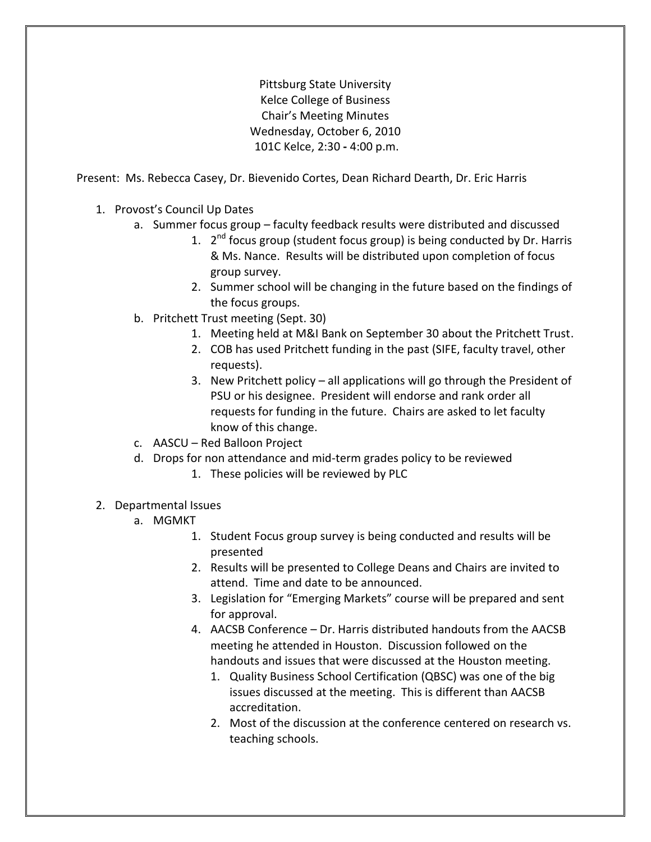Pittsburg State University Kelce College of Business Chair's Meeting Minutes Wednesday, October 6, 2010 101C Kelce, 2:30 **-** 4:00 p.m.

Present:Ms. Rebecca Casey, Dr. Bievenido Cortes, Dean Richard Dearth, Dr. Eric Harris

- 1. Provost's Council Up Dates
	- a. Summer focus group faculty feedback results were distributed and discussed
		- 1. 2<sup>nd</sup> focus group (student focus group) is being conducted by Dr. Harris & Ms. Nance. Results will be distributed upon completion of focus group survey.
		- 2. Summer school will be changing in the future based on the findings of the focus groups.
	- b. Pritchett Trust meeting (Sept. 30)
		- 1. Meeting held at M&I Bank on September 30 about the Pritchett Trust.
		- 2. COB has used Pritchett funding in the past (SIFE, faculty travel, other requests).
		- 3. New Pritchett policy all applications will go through the President of PSU or his designee. President will endorse and rank order all requests for funding in the future. Chairs are asked to let faculty know of this change.
	- c. AASCU Red Balloon Project
	- d. Drops for non attendance and mid-term grades policy to be reviewed
		- 1. These policies will be reviewed by PLC
- 2. Departmental Issues
	- a. MGMKT
		- 1. Student Focus group survey is being conducted and results will be presented
		- 2. Results will be presented to College Deans and Chairs are invited to attend. Time and date to be announced.
		- 3. Legislation for "Emerging Markets" course will be prepared and sent for approval.
		- 4. AACSB Conference Dr. Harris distributed handouts from the AACSB meeting he attended in Houston. Discussion followed on the handouts and issues that were discussed at the Houston meeting.
			- 1. Quality Business School Certification (QBSC) was one of the big issues discussed at the meeting. This is different than AACSB accreditation.
			- 2. Most of the discussion at the conference centered on research vs. teaching schools.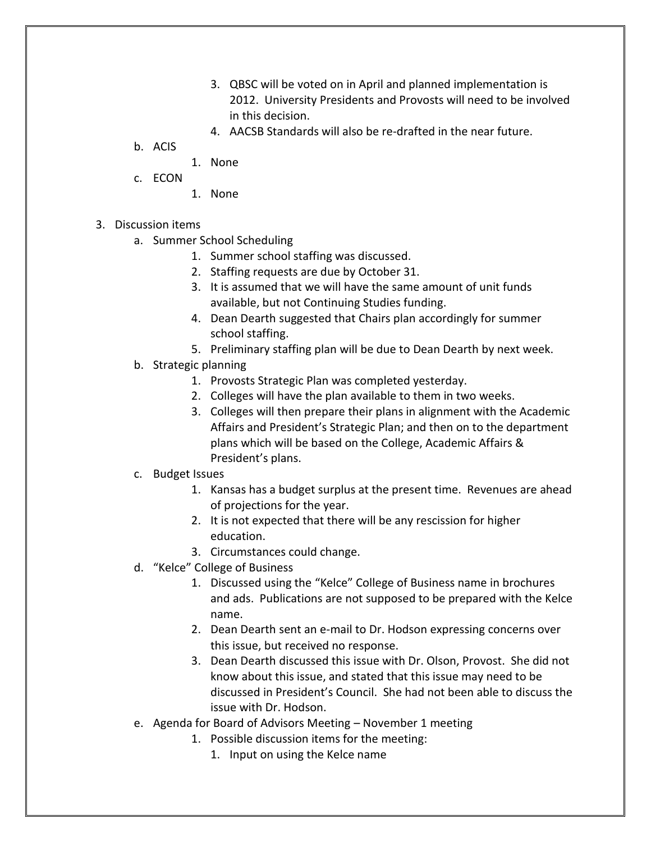- 3. QBSC will be voted on in April and planned implementation is 2012. University Presidents and Provosts will need to be involved in this decision.
- 4. AACSB Standards will also be re-drafted in the near future.
- b. ACIS
	- 1. None
- c. ECON
- 1. None
- 3. Discussion items
	- a. Summer School Scheduling
		- 1. Summer school staffing was discussed.
		- 2. Staffing requests are due by October 31.
		- 3. It is assumed that we will have the same amount of unit funds available, but not Continuing Studies funding.
		- 4. Dean Dearth suggested that Chairs plan accordingly for summer school staffing.
		- 5. Preliminary staffing plan will be due to Dean Dearth by next week.
	- b. Strategic planning
		- 1. Provosts Strategic Plan was completed yesterday.
		- 2. Colleges will have the plan available to them in two weeks.
		- 3. Colleges will then prepare their plans in alignment with the Academic Affairs and President's Strategic Plan; and then on to the department plans which will be based on the College, Academic Affairs & President's plans.
	- c. Budget Issues
		- 1. Kansas has a budget surplus at the present time. Revenues are ahead of projections for the year.
		- 2. It is not expected that there will be any rescission for higher education.
		- 3. Circumstances could change.
	- d. "Kelce" College of Business
		- 1. Discussed using the "Kelce" College of Business name in brochures and ads. Publications are not supposed to be prepared with the Kelce name.
		- 2. Dean Dearth sent an e-mail to Dr. Hodson expressing concerns over this issue, but received no response.
		- 3. Dean Dearth discussed this issue with Dr. Olson, Provost. She did not know about this issue, and stated that this issue may need to be discussed in President's Council. She had not been able to discuss the issue with Dr. Hodson.
	- e. Agenda for Board of Advisors Meeting November 1 meeting
		- 1. Possible discussion items for the meeting:
			- 1. Input on using the Kelce name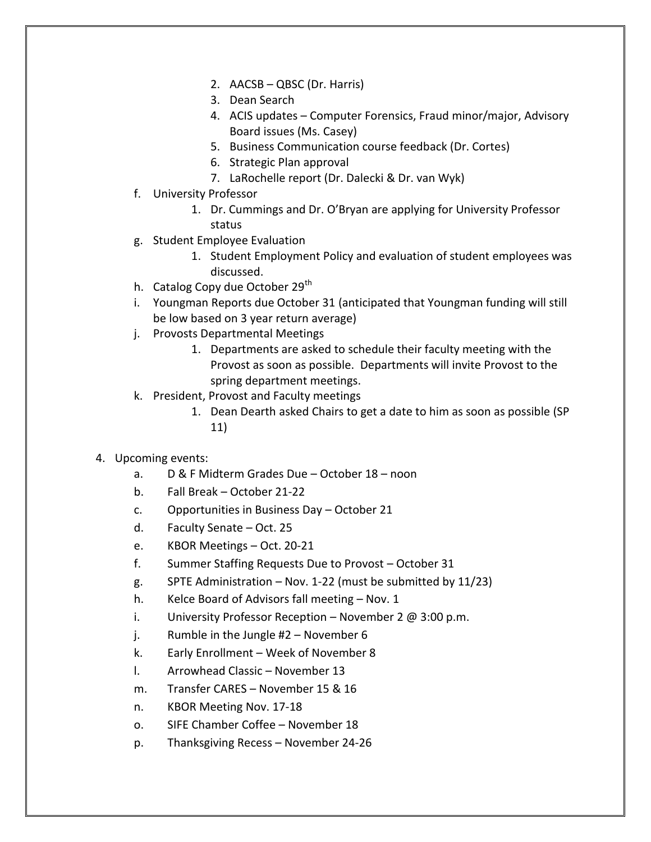- 2. AACSB QBSC (Dr. Harris)
- 3. Dean Search
- 4. ACIS updates Computer Forensics, Fraud minor/major, Advisory Board issues (Ms. Casey)
- 5. Business Communication course feedback (Dr. Cortes)
- 6. Strategic Plan approval
- 7. LaRochelle report (Dr. Dalecki & Dr. van Wyk)
- f. University Professor
	- 1. Dr. Cummings and Dr. O'Bryan are applying for University Professor status
- g. Student Employee Evaluation
	- 1. Student Employment Policy and evaluation of student employees was discussed.
- h. Catalog Copy due October 29<sup>th</sup>
- i. Youngman Reports due October 31 (anticipated that Youngman funding will still be low based on 3 year return average)
- j. Provosts Departmental Meetings
	- 1. Departments are asked to schedule their faculty meeting with the Provost as soon as possible. Departments will invite Provost to the spring department meetings.
- k. President, Provost and Faculty meetings
	- 1. Dean Dearth asked Chairs to get a date to him as soon as possible (SP 11)
- 4. Upcoming events:
	- a. D & F Midterm Grades Due October 18 noon
	- b. Fall Break October 21-22
	- c. Opportunities in Business Day October 21
	- d. Faculty Senate Oct. 25
	- e. KBOR Meetings Oct. 20-21
	- f. Summer Staffing Requests Due to Provost October 31
	- g. SPTE Administration  $-$  Nov. 1-22 (must be submitted by 11/23)
	- h. Kelce Board of Advisors fall meeting Nov. 1
	- i. University Professor Reception November 2  $\omega$  3:00 p.m.
	- j. Rumble in the Jungle #2 November 6
	- k. Early Enrollment Week of November 8
	- l. Arrowhead Classic November 13
	- m. Transfer CARES November 15 & 16
	- n. KBOR Meeting Nov. 17-18
	- o. SIFE Chamber Coffee November 18
	- p. Thanksgiving Recess November 24-26